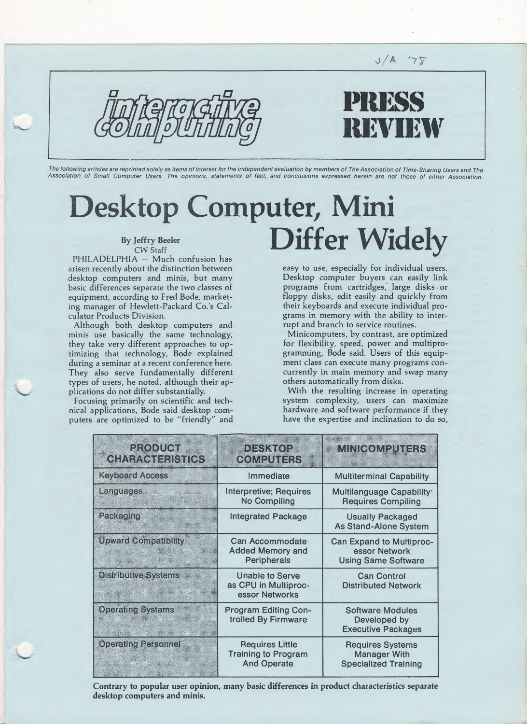

The following articles are reprinted solely as items of interest for the independent evaluation by members of The Association of Time-Sharing Users and The Association of Small Computer Users. The opinions, statements of fact, and conclusions expressed herein are not those of either Association.

## Desktop Computer, Mini Differ Widely By Jeffry Beeler CW Staff

PHILADELPHIA — Much confusion has arisen recently about the distinction between desktop computers and minis, but many basic differences separate the two classes of equipment, according to Fred Bode, marketing manager of Hewlett-Packard Co.'s Calculator Products Division.

Although both desktop computers and minis use basically the same technology, they take very different approaches to op timizing that technology, Bode explained during a seminar at a recent conference here. They also serve fundamentally different types of users, he noted, although their applications do not differ substantially.

Focusing primarily on scientific and technical applications, Bode said desktop com puters are optimized to be "friendly" and easy to use, especially for individual users. Desktop computer buyers can easily link programs from cartridges, large disks or floppy disks, edit easily and quickly from their keyboards and execute individual pro grams in memory with the ability to interrupt and branch to service routines.

Minicomputers, by contrast, are optimized for flexibility, speed, power and multiprogramming, Bode said. Users of this equipment class can execute many programs concurrently in main memory and swap many others automatically from disks.

With the resulting increase in operating system complexity, users can maximize hardware and software performance if they have the expertise and inclination to do so.

| $\left  \cdot \right $ (e) $\left  \cdot \right $ (e) $\left  \cdot \right $<br><b>CHARACHERSTICS</b> | DESA()2<br>(OOMNIES)                                                       | MNIGOM2UHERS                                                                   |
|-------------------------------------------------------------------------------------------------------|----------------------------------------------------------------------------|--------------------------------------------------------------------------------|
| <b>Keyboard Access</b>                                                                                | Immediate                                                                  | <b>Multiterminal Capability</b>                                                |
| Languages                                                                                             | Interpretive; Requires<br><b>No Compiling</b>                              | Multilanguage Capability <sup>.</sup><br><b>Requires Compiling</b>             |
| Paekaoling                                                                                            | <b>Integrated Package</b>                                                  | <b>Usually Packaged</b><br><b>As Stand-Alone System</b>                        |
| <b>Upward Compatibility</b>                                                                           | Can Accommodate<br><b>Added Memory and</b><br>Peripherals                  | <b>Can Expand to Multiproc-</b><br>essor Network<br><b>Using Same Software</b> |
| <b>Distributive Systems</b>                                                                           | Unable to Serve<br>as CPU in Multiproc-<br>essor Networks                  | <b>Can Control</b><br><b>Distributed Network</b>                               |
| <b>Operating Systems</b>                                                                              | <b>Program Editing Con-</b><br>trolled By Firmware                         | <b>Software Modules</b><br>Developed by<br><b>Executive Packages</b>           |
| <b>Operating Personnel</b>                                                                            | <b>Requires Little</b><br><b>Training to Program</b><br><b>And Operate</b> | <b>Requires Systems</b><br><b>Manager With</b><br><b>Specialized Training</b>  |

Contrary to popular user opinion, many basic differences in product characteristics separate desktop computers and minis.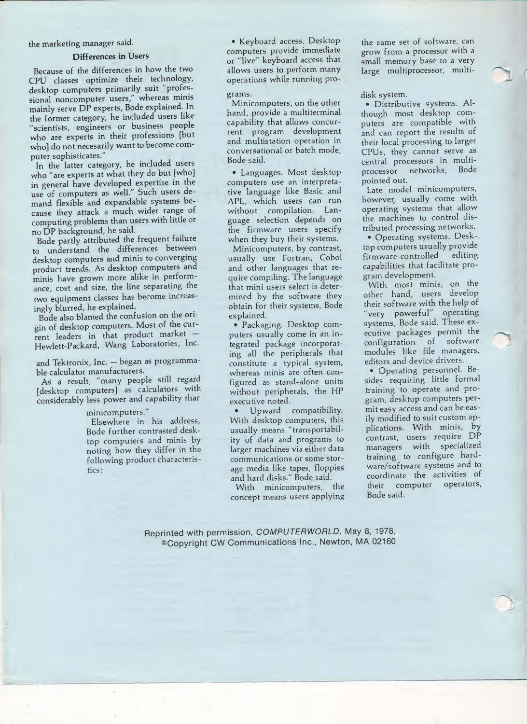#### the marketing manager said.

### Differences in Users

Because of the differences in how the two CPU classes optimize their technology, desktop computers primarily suit "professional noncomputer users," whereas minis mainly serve DP experts, Bode explained. In the former category, he included users like "scientists, engineers or business people who are experts in their professions [but who] do not necesarily want to become computer sophisticates."

In the latter category, he included users who "are experts at what they do but [who] in general have developed expertise in the use of computers as well." Such users demand flexible and expandable systems because they attack a much wider range of computing problems than users with little or no DP background, he said.

Bode partly attributed the frequent failure to understand the differences between desktop computers and minis to converging product trends. As desktop computers and minis have grown more alike in perform ance, cost and size, the line separating the two equipment classes has become increasingly blurred, he explained.

Bode also blamed the confusion on the origin of desktop computers. Most of the current leaders in that product market — Hewlett-Packard, Wang Laboratories, Inc.

and Tektronix, Inc. - began as programmable calculator manufacturers.

As a result, "many people still regard [desktop computers] as calculators with considerably less power and capability than

minicomputers."

Elsewhere in his address, Bode further contrasted desktop computers and minis by noting how they differ in the following product characteristics:

• Keyboard access. Desktop computers provide immediate or "live" keyboard access that allows users to perform many operations while running pro-

### grams.

Minicomputers, on the other hand, provide a multiterminal capability that allows concurrent program development and multistation operation in conversational or batch mode, Bode said.

• Languages. Most desktop computers use an interpretative language like Basic and APL, which users can run without compilation: Language selection depends on the firmware users specify when they buy their systems.

Minicomputers, by contrast, usually use Fortran, Cobol and other languages that require compiling. The language that mini users select is determined by the software they obtain for their systems. Bode explained.

• Packaging. Desktop com puters usually come in an integrated package incorporating all the peripherals that constitute a typical system, whereas minis are often configured as stand-alone units without peripherals, the HP executive noted.

• Upward compatibility. With desktop computers, this usually means "transportability of data and programs to larger machines via either data communications or some storage media like tapes, floppies and hard disks." Bode said.

With minicomputers, the concept means users applying the same set of software, can grow from a processor with a small memory base to a very large multiprocessor, multi-

#### disk system.

· Distributive systems. Although most desktop computers are compatible with and can report the results of their local processing to larger CPUs, they cannot serve as central processors in multiprocessor networks. Bode pointed out.

Late model minicomputers, however, usually come with operating systems that allow the machines to control distributed processing networks.

• Operating systems. Desk- top computers usually provide firmware-controlled editing capabilities that facilitate program development.

With most minis, on the other hand, users develop their software with the help of "very powerful" operating systems, Bode said. These executive packages permit the configuration of software modules like file managers, editors and device drivers.

• Operating personnel. Besides requiring little formal training to operate and program, desktop computers per mit easy access and can be easily modified to suit custom applications. With minis, by contrast, users require DP managers with specialized training to configure hardware/software systems and to coordinate the activities of their computer operators. Bode said.

Reprinted with permission, COMPUTERWORLD, May 8, 1978, ©Copyright CW Communications inc., Newton, MA 02160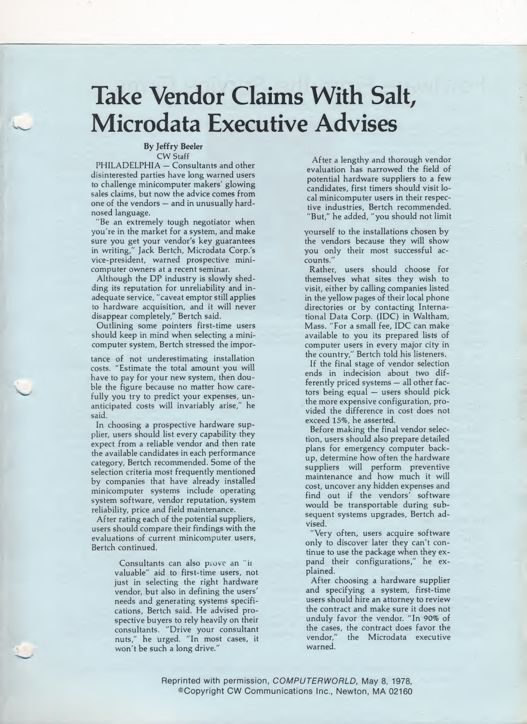# Take Vendor Claims With Salt, Microdata Executive Advises

### By Jeffry Beeler CW Staff

PHILADELPHIA — Consultants and other disinterested parties have long warned users to challenge minicomputer makers' glowing sales claims, but now the advice comes from one of the vendors — and in unusually hardnosed language.

"Be an extremely tough negotiator when you're in the market for a system, and make sure you get your vendor's key guarantees in writing," Jack Bertch, Microdata Corp.'s vice-president, warned prospective minicomputer owners at a recent seminar.

Although the DP industry is slowly shedding its reputation for unreliability and in adequate service, "caveat emptor still applies to hardware acquisition, and it will never disappear completely," Bertch said.

Outlining some pointers first-time users should keep in mind when selecting a minicomputer system, Bertch stressed the impor-

tance of not underestimating installation costs. "Estimate the total amount you will have to pay for your new system, then double the figure because no matter how carefully you try to predict your expenses, unanticipated costs will invariably arise," he said.

In choosing a prospective hardware supplier, users should list every capability they expect from a reliable vendor and then rate the available candidates in each performance category, Bertch recommended. Some of the selection criteria most frequently mentioned by companies that have already installed minicomputer systems include operating system software, vendor reputation, system reliability, price and field maintenance.

After rating each of the potential suppliers, users should compare their findings with the evaluations of current minicomputer users, Bertch continued.

> Consultants can also prove an "ii valuable" aid to first-time users, not just in selecting the right hardware vendor, but also in defining the users' needs and generating systems specifications, Bertch said. He advised prospective buyers to rely heavily on their consultants. "Drive your consultant nuts," he urged. "In most cases, it won't be such a long drive."

After a lengthy and thorough vendor evaluation has narrowed the field of potential hardware suppliers to a few candidates, first timers should visit local minicomputer users in their respective industries, Bertch recommended. "But," he added, "you should not limit

yourself to the installations chosen by the vendors because they will show you only their most successful accounts."

Rather, users should choose for themselves what sites they wish to visit, either by calling companies listed in the yellow pages of their local phone directories or by contacting International Data Corp. (IDC) in Waltham, Mass. "For a small fee, IDC can make available to you its prepared lists of computer users in every major city in the country," Bertch told his listeners.

If the final stage of vendor selection ends in indecision about two differently priced systems - all other factors being equal — users should pick the more expensive configuration, provided the difference in cost does not exceed 15%, he asserted.

Before making the final vendor selection, users should also prepare detailed plans for emergency computer backup, determine how often the hardware suppliers will perform preventive maintenance and how much it will cost, uncover any hidden expenses and find out if the vendors' software would be transportable during subsequent systems upgrades, Bertch advised.

"Very often, users acquire software only to discover later they can't continue to use the package when they expand their configurations," he explained.

After choosing a hardware supplier and specifying a system, first-time users should hire an attorney to review the contract and make sure it does not unduly favor the vendor. "In 90% of the cases, the contract does favor the<br>vendor," the Microdata executive the Microdata executive warned.